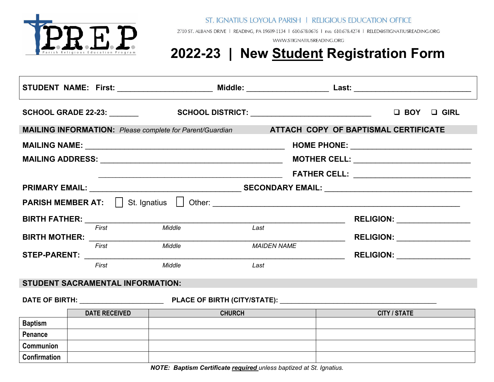

ST. IGNATIUS LOYOLA PARISH | RELIGIOUS EDUCATION OFFICE

2710 ST. ALBANS DRIVE | READING, PA 19609-1134 | 610.678.0676 | FAX: 610.678.4274 | RELED@STIGNATIUSREADING.ORG

WWW.STIGNATIUSREADING.ORG

## **2022-23 | New Student Registration Form**

|                                                                                                             | <b>SCHOOL GRADE 22-23:</b>             |               | SCHOOL DISTRICT: ________________________________  | $\Box$ BOY $\Box$ GIRL               |  |  |  |
|-------------------------------------------------------------------------------------------------------------|----------------------------------------|---------------|----------------------------------------------------|--------------------------------------|--|--|--|
| <b>MAILING INFORMATION:</b> Please complete for Parent/Guardian <b>ATTACH COPY OF BAPTISMAL CERTIFICATE</b> |                                        |               |                                                    |                                      |  |  |  |
|                                                                                                             |                                        |               |                                                    |                                      |  |  |  |
|                                                                                                             |                                        |               | <b>MOTHER CELL:</b> ______________________________ |                                      |  |  |  |
|                                                                                                             |                                        |               |                                                    |                                      |  |  |  |
|                                                                                                             |                                        |               |                                                    |                                      |  |  |  |
|                                                                                                             |                                        |               |                                                    |                                      |  |  |  |
| BIRTH FATHER: _________________                                                                             |                                        |               |                                                    | RELIGION: __________________         |  |  |  |
|                                                                                                             | First                                  | Middle        | Last                                               | RELIGION: ___________________        |  |  |  |
|                                                                                                             | First<br>STEP-PARENT: THE STEP-PARENT: | Middle        | <b>MAIDEN NAME</b>                                 | <b>RELIGION:</b> ___________________ |  |  |  |
|                                                                                                             | First                                  | Middle        | Last                                               |                                      |  |  |  |
| <b>STUDENT SACRAMENTAL INFORMATION:</b>                                                                     |                                        |               |                                                    |                                      |  |  |  |
|                                                                                                             |                                        |               |                                                    |                                      |  |  |  |
| <b>DATE RECEIVED</b>                                                                                        |                                        | <b>CHURCH</b> |                                                    | <b>CITY / STATE</b>                  |  |  |  |
| <b>Baptism</b>                                                                                              |                                        |               |                                                    |                                      |  |  |  |
| Penance                                                                                                     |                                        |               |                                                    |                                      |  |  |  |
| <b>Communion</b>                                                                                            |                                        |               |                                                    |                                      |  |  |  |
| Confirmation                                                                                                |                                        |               |                                                    |                                      |  |  |  |

*NOTE: Baptism Certificate required unless baptized at St. Ignatius.*